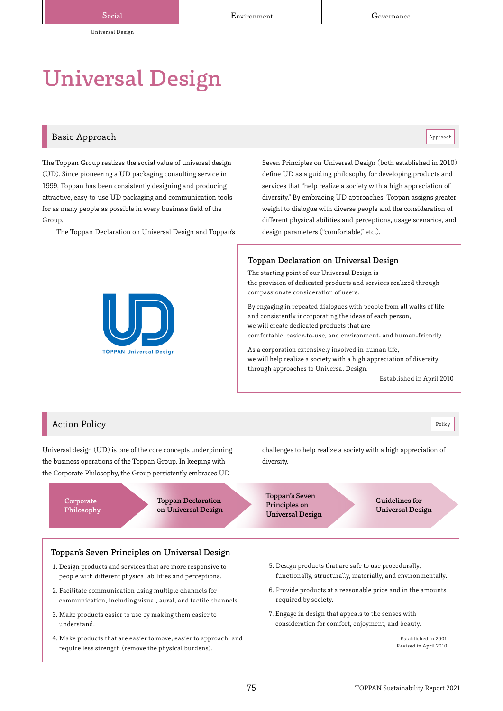# Universal Design

# Basic Approach and the contract of the contract of the contract of the contract of the contract of the contract of the contract of the contract of the contract of the contract of the contract of the contract of the contrac

The Toppan Group realizes the social value of universal design (UD). Since pioneering a UD packaging consulting service in 1999, Toppan has been consistently designing and producing attractive, easy-to-use UD packaging and communication tools for as many people as possible in every business field of the Group.

The Toppan Declaration on Universal Design and Toppan's

Seven Principles on Universal Design (both established in 2010) define UD as a guiding philosophy for developing products and services that "help realize a society with a high appreciation of diversity." By embracing UD approaches, Toppan assigns greater weight to dialogue with diverse people and the consideration of different physical abilities and perceptions, usage scenarios, and design parameters ("comfortable," etc.).

#### Toppan Declaration on Universal Design

The starting point of our Universal Design is the provision of dedicated products and services realized through compassionate consideration of users.

By engaging in repeated dialogues with people from all walks of life and consistently incorporating the ideas of each person, we will create dedicated products that are comfortable, easier-to-use, and environment- and human-friendly.

As a corporation extensively involved in human life, we will help realize a society with a high appreciation of diversity through approaches to Universal Design.

Established in April 2010



# Action Policy Policy Policy Policy Policy Policy Policy Policy Policy Policy Policy Policy Policy Policy Policy

Universal design (UD) is one of the core concepts underpinning the business operations of the Toppan Group. In keeping with the Corporate Philosophy, the Group persistently embraces UD

> Corporate Philosophy

Toppan Declaration on Universal Design challenges to help realize a society with a high appreciation of diversity.

Toppan's Seven Principles on Universal Design

Guidelines for Universal Design

#### Toppan's Seven Principles on Universal Design

- 1. Design products and services that are more responsive to people with different physical abilities and perceptions.
- 2. Facilitate communication using multiple channels for communication, including visual, aural, and tactile channels.
- 3. Make products easier to use by making them easier to understand.
- 4. Make products that are easier to move, easier to approach, and require less strength (remove the physical burdens).
- 5. Design products that are safe to use procedurally, functionally, structurally, materially, and environmentally.
- 6. Provide products at a reasonable price and in the amounts required by society.
- 7. Engage in design that appeals to the senses with consideration for comfort, enjoyment, and beauty.

Established in 2001 Revised in April 2010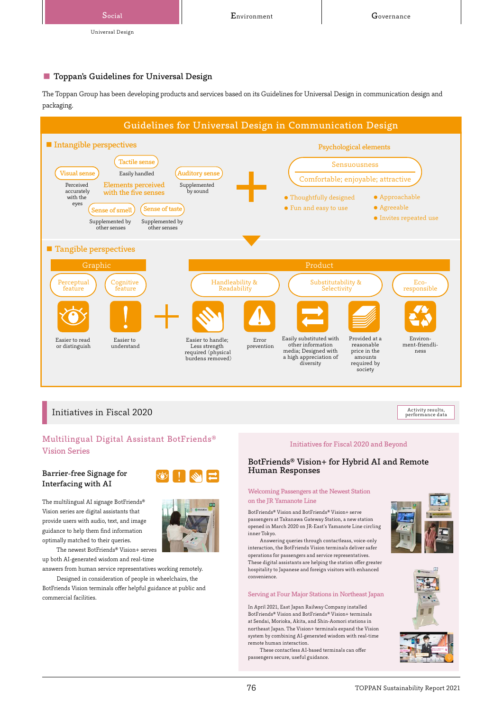

# ■ Toppan's Guidelines for Universal Design

The Toppan Group has been developing products and services based on its Guidelines for Universal Design in communication design and packaging.



# Initiatives in Fiscal 2020

# Multilingual Digital Assistant BotFriends® Vision Series

#### Barrier-free Signage for Interfacing with AI

The multilingual AI signage BotFriends® Vision series are digital assistants that provide users with audio, text, and image guidance to help them find information optimally matched to their queries.

The newest BotFriends® Vision+ serves up both AI-generated wisdom and real-time

answers from human service representatives working remotely. Designed in consideration of people in wheelchairs, the

BotFriends Vision terminals offer helpful guidance at public and commercial facilities.





#### Initiatives for Fiscal 2020 and Beyond

#### BotFriends® Vision+ for Hybrid AI and Remote Human Responses

#### Welcoming Passengers at the Newest Station on the JR Yamanote Line

BotFriends® Vision and BotFriends® Vision+ serve passengers at Takanawa Gateway Station, a new station opened in March 2020 on JR-East's Yamanote Line circling inner Tokyo.

Answering queries through contactleass, voice-only interaction, the BotFriends Vision terminals deliver safer operations for passengers and service representatives. These digital assistants are helping the station offer greater hospitality to Japanese and foreign visitors with enhanced convenience.

#### Serving at Four Major Stations in Northeast Japan

In April 2021, East Japan Railway Company installed BotFriends® Vision and BotFriends® Vision+ terminals at Sendai, Morioka, Akita, and Shin-Aomori stations in northeast Japan. The Vision+ terminals expand the Vision system by combining AI-generated wisdom with real-time remote human interaction.

These contactless AI-based terminals can offer passengers secure, useful guidance.





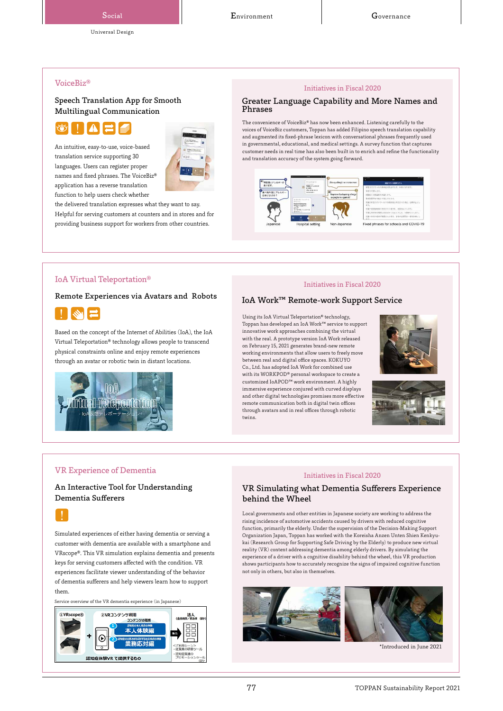# Universal Design

#### VoiceBiz®

#### Speech Translation App for Smooth Multilingual Communication



An intuitive, easy-to-use, voice-based translation service supporting 30 languages. Users can register proper names and fixed phrases. The VoiceBiz® application has a reverse translation function to help users check whether



the delivered translation expresses what they want to say. Helpful for serving customers at counters and in stores and for providing business support for workers from other countries.

#### Initiatives in Fiscal 2020

#### Greater Language Capability and More Names and Phrases

The convenience of VoiceBiz® has now been enhanced. Listening carefully to the voices of VoiceBiz customers, Toppan has added Filipino speech translation capability and augmented its fixed-phrase lexicon with conversational phrases frequently used in governmental, educational, and medical settings. A survey function that captures customer needs in real time has also been built in to enrich and refine the functionality and translation accuracy of the system going forward.



#### IoA Virtual Teleportation®

#### Remote Experiences via Avatars and Robots



Based on the concept of the Internet of Abilities (IoA), the IoA Virtual Teleportation® technology allows people to transcend physical constraints online and enjoy remote experiences through an avatar or robotic twin in distant locations.



#### Initiatives in Fiscal 2020

#### IoA Work™ Remote-work Support Service

Using its IoA Virtual Teleportation® technology, Toppan has developed an IoA Work™ service to support innovative work approaches combining the virtual with the real. A prototype version IoA Work released on February 15, 2021 generates brand-new remote working environments that allow users to freely move between real and digital office spaces. KOKUYO Co., Ltd. has adopted IoA Work for combined use with its WORKPOD® personal workspace to create a customized IoAPOD™ work environment. A highly immersive experience conjured with curved displays and other digital technologies promises more effective remote communication both in digital twin offices through avatars and in real offices through robotic twins.





## VR Experience of Dementia

# An Interactive Tool for Understanding Dementia Sufferers



Simulated experiences of either having dementia or serving a customer with dementia are available with a smartphone and VRscope®. This VR simulation explains dementia and presents keys for serving customers affected with the condition. VR experiences facilitate viewer understanding of the behavior of dementia sufferers and help viewers learn how to support them.

vice overview of the VR dementia experience (in Japanese)



#### Initiatives in Fiscal 2020

#### VR Simulating what Dementia Sufferers Experience behind the Wheel

Local governments and other entities in Japanese society are working to address the rising incidence of automotive accidents caused by drivers with reduced cognitive function, primarily the elderly. Under the supervision of the Decision-Making Support Organization Japan, Toppan has worked with the Koreisha Anzen Unten Shien Kenkyukai (Research Group for Supporting Safe Driving by the Elderly) to produce new virtual reality (VR) content addressing dementia among elderly drivers. By simulating the experience of a driver with a cognitive disability behind the wheel, this VR production shows participants how to accurately recognize the signs of impaired cognitive function not only in others, but also in themselves.





\*Introduced in June 2021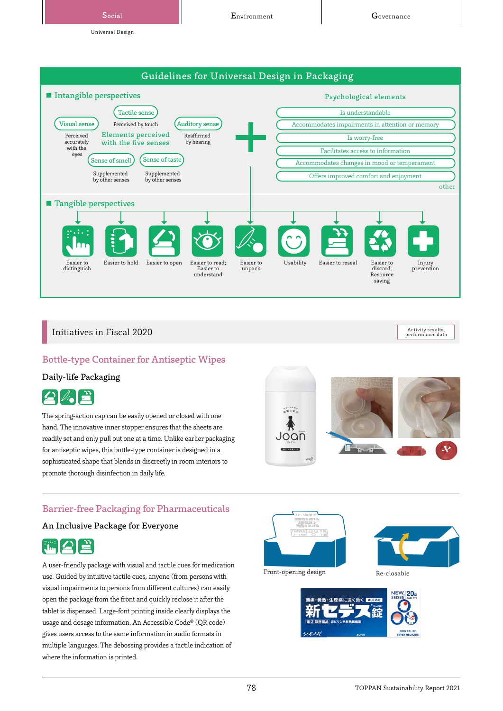Social **Calculation Covernance** Environment Covernance

Universal Design



# Initiatives in Fiscal 2020

Activity results,<br>performance data

# Bottle-type Container for Antiseptic Wipes

#### Daily-life Packaging



The spring-action cap can be easily opened or closed with one hand. The innovative inner stopper ensures that the sheets are readily set and only pull out one at a time. Unlike earlier packaging for antiseptic wipes, this bottle-type container is designed in a sophisticated shape that blends in discreetly in room interiors to promote thorough disinfection in daily life.



# Barrier-free Packaging for Pharmaceuticals

# An Inclusive Package for Everyone



A user-friendly package with visual and tactile cues for medication use. Guided by intuitive tactile cues, anyone (from persons with visual impairments to persons from different cultures) can easily open the package from the front and quickly reclose it after the tablet is dispensed. Large-font printing inside clearly displays the usage and dosage information. An Accessible Code® (QR code) gives users access to the same information in audio formats in multiple languages. The debossing provides a tactile indication of where the information is printed.





Front-opening design Re-closable